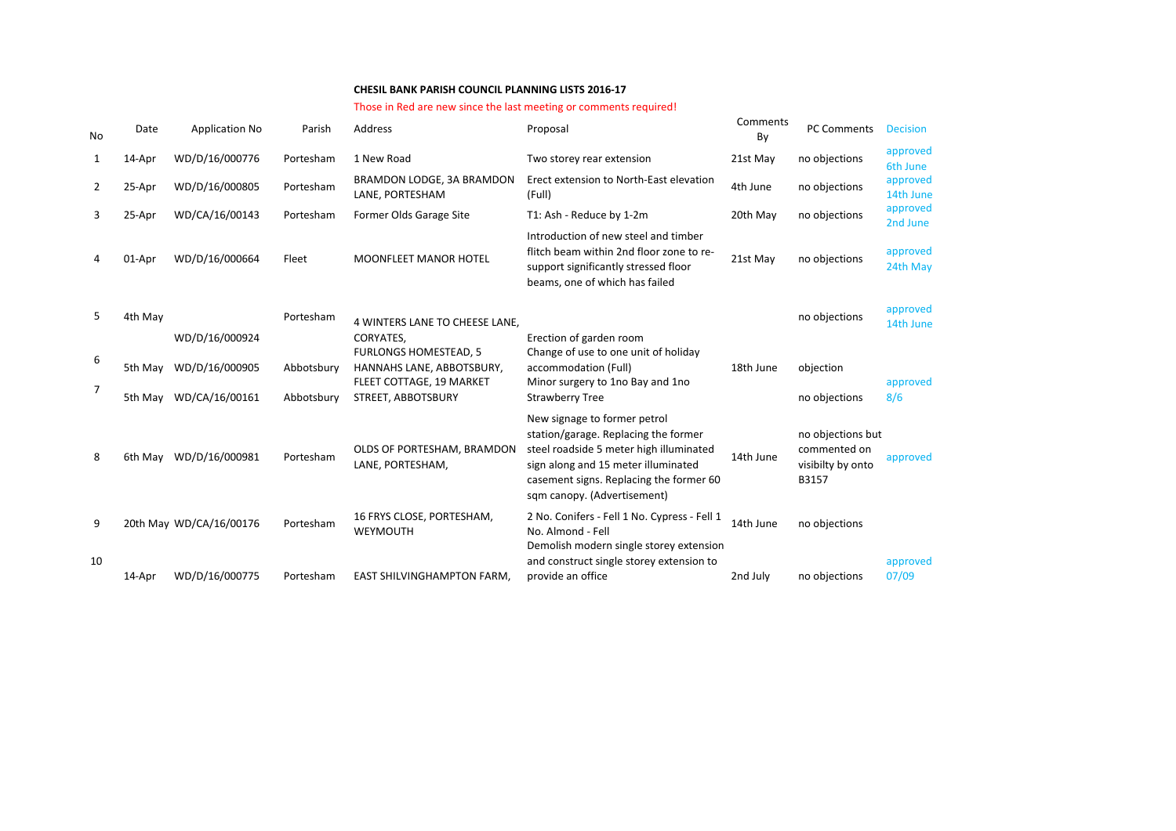## **CHESIL BANK PARISH COUNCIL PLANNING LISTS 2016-17**

## Those in Red are new since the last meeting or comments required!

| No     | Date    | <b>Application No</b>            | Parish     | Address                                                                                            | Proposal                                                                                                                                                                                                                         | Comments<br>By | <b>PC Comments</b>                                              | <b>Decision</b>       |
|--------|---------|----------------------------------|------------|----------------------------------------------------------------------------------------------------|----------------------------------------------------------------------------------------------------------------------------------------------------------------------------------------------------------------------------------|----------------|-----------------------------------------------------------------|-----------------------|
| 1      | 14-Apr  | WD/D/16/000776                   | Portesham  | 1 New Road                                                                                         | Two storey rear extension                                                                                                                                                                                                        | 21st May       | no objections                                                   | approved<br>6th June  |
| 2      | 25-Apr  | WD/D/16/000805                   | Portesham  | BRAMDON LODGE, 3A BRAMDON<br>LANE, PORTESHAM                                                       | Erect extension to North-East elevation<br>(Full)                                                                                                                                                                                | 4th June       | no objections                                                   | approved<br>14th June |
| 3      | 25-Apr  | WD/CA/16/00143                   | Portesham  | Former Olds Garage Site                                                                            | T1: Ash - Reduce by 1-2m                                                                                                                                                                                                         | 20th May       | no objections                                                   | approved<br>2nd June  |
|        | 01-Apr  | WD/D/16/000664                   | Fleet      | <b>MOONFLEET MANOR HOTEL</b>                                                                       | Introduction of new steel and timber<br>flitch beam within 2nd floor zone to re-<br>support significantly stressed floor<br>beams, one of which has failed                                                                       | 21st May       | no objections                                                   | approved<br>24th May  |
| 5.     | 4th May |                                  | Portesham  | 4 WINTERS LANE TO CHEESE LANE.                                                                     |                                                                                                                                                                                                                                  |                | no objections                                                   | approved<br>14th June |
| 6<br>7 | 5th May | WD/D/16/000924<br>WD/D/16/000905 | Abbotsbury | CORYATES.<br><b>FURLONGS HOMESTEAD, 5</b><br>HANNAHS LANE, ABBOTSBURY,<br>FLEET COTTAGE, 19 MARKET | Erection of garden room<br>Change of use to one unit of holiday<br>accommodation (Full)<br>Minor surgery to 1no Bay and 1no                                                                                                      | 18th June      | objection                                                       | approved              |
|        | 5th May | WD/CA/16/00161                   | Abbotsbury | STREET, ABBOTSBURY                                                                                 | <b>Strawberry Tree</b>                                                                                                                                                                                                           |                | no objections                                                   | 8/6                   |
| 8      | 6th May | WD/D/16/000981                   | Portesham  | OLDS OF PORTESHAM, BRAMDON<br>LANE, PORTESHAM,                                                     | New signage to former petrol<br>station/garage. Replacing the former<br>steel roadside 5 meter high illuminated<br>sign along and 15 meter illuminated<br>casement signs. Replacing the former 60<br>sqm canopy. (Advertisement) | 14th June      | no objections but<br>commented on<br>visibilty by onto<br>B3157 | approved              |
| 9      |         | 20th May WD/CA/16/00176          | Portesham  | 16 FRYS CLOSE, PORTESHAM,<br>WEYMOUTH                                                              | 2 No. Conifers - Fell 1 No. Cypress - Fell 1<br>No. Almond - Fell<br>Demolish modern single storey extension                                                                                                                     | 14th June      | no objections                                                   |                       |
| 10     | 14-Apr  | WD/D/16/000775                   | Portesham  | EAST SHILVINGHAMPTON FARM,                                                                         | and construct single storey extension to<br>provide an office                                                                                                                                                                    | 2nd July       | no objections                                                   | approved<br>07/09     |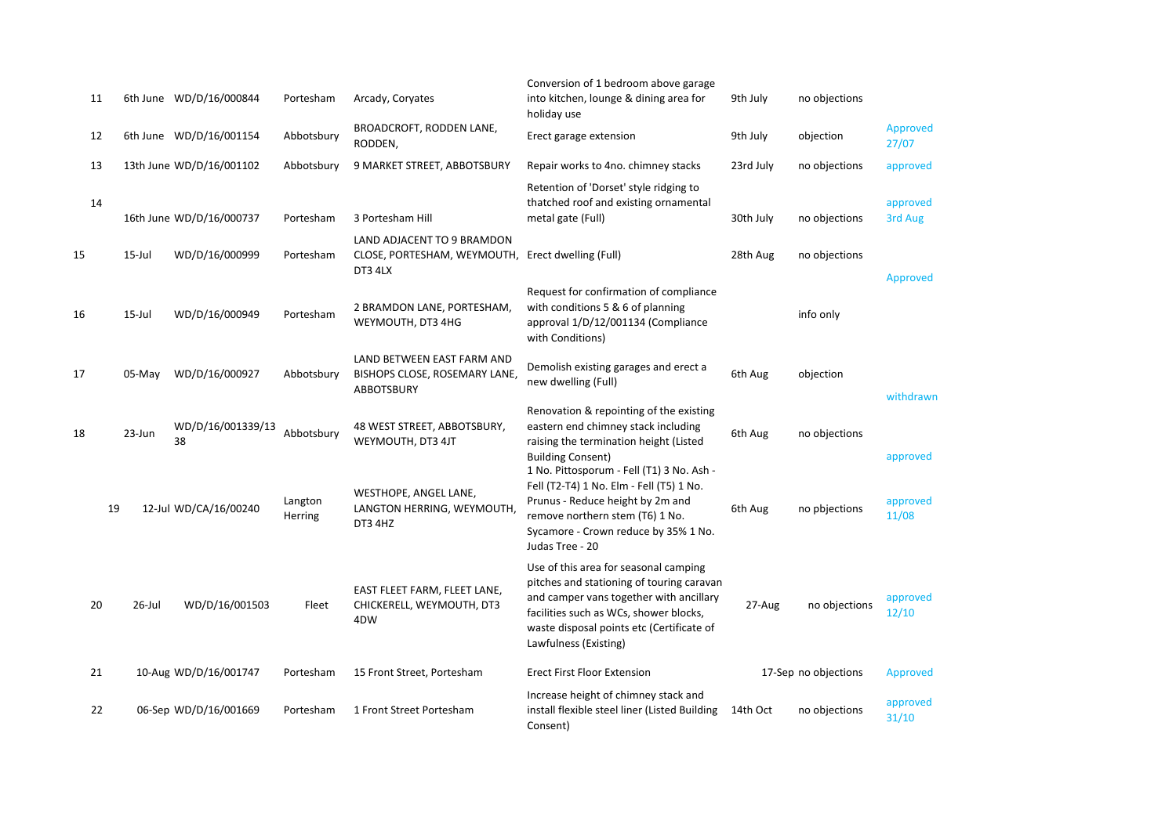| 11 |           | 6th June WD/D/16/000844  | Portesham          | Arcady, Coryates                                                                           | Conversion of 1 bedroom above garage<br>into kitchen, lounge & dining area for<br>holiday use                                                                                                                                                 | 9th July  | no objections        |                     |
|----|-----------|--------------------------|--------------------|--------------------------------------------------------------------------------------------|-----------------------------------------------------------------------------------------------------------------------------------------------------------------------------------------------------------------------------------------------|-----------|----------------------|---------------------|
| 12 |           | 6th June WD/D/16/001154  | Abbotsbury         | BROADCROFT, RODDEN LANE,<br>RODDEN,                                                        | Erect garage extension                                                                                                                                                                                                                        | 9th July  | objection            | Approved<br>27/07   |
| 13 |           | 13th June WD/D/16/001102 | Abbotsbury         | 9 MARKET STREET, ABBOTSBURY                                                                | Repair works to 4no. chimney stacks                                                                                                                                                                                                           | 23rd July | no objections        | approved            |
| 14 |           | 16th June WD/D/16/000737 | Portesham          | 3 Portesham Hill                                                                           | Retention of 'Dorset' style ridging to<br>thatched roof and existing ornamental<br>metal gate (Full)                                                                                                                                          | 30th July | no objections        | approved<br>3rd Aug |
| 15 | $15$ -Jul | WD/D/16/000999           | Portesham          | LAND ADJACENT TO 9 BRAMDON<br>CLOSE, PORTESHAM, WEYMOUTH, Erect dwelling (Full)<br>DT3 4LX |                                                                                                                                                                                                                                               | 28th Aug  | no objections        | Approved            |
| 16 | $15$ -Jul | WD/D/16/000949           | Portesham          | 2 BRAMDON LANE, PORTESHAM,<br>WEYMOUTH, DT3 4HG                                            | Request for confirmation of compliance<br>with conditions 5 & 6 of planning<br>approval 1/D/12/001134 (Compliance<br>with Conditions)                                                                                                         |           | info only            |                     |
| 17 | $05-Mav$  | WD/D/16/000927           | Abbotsbury         | LAND BETWEEN EAST FARM AND<br>BISHOPS CLOSE, ROSEMARY LANE,<br><b>ABBOTSBURY</b>           | Demolish existing garages and erect a<br>new dwelling (Full)                                                                                                                                                                                  | 6th Aug   | objection            | withdrawn           |
| 18 | 23-Jun    | WD/D/16/001339/13<br>38  | Abbotsbury         | 48 WEST STREET, ABBOTSBURY,<br>WEYMOUTH, DT3 4JT                                           | Renovation & repointing of the existing<br>eastern end chimney stack including<br>raising the termination height (Listed<br><b>Building Consent)</b>                                                                                          | 6th Aug   | no objections        | approved            |
| 19 |           | 12-Jul WD/CA/16/00240    | Langton<br>Herring | WESTHOPE, ANGEL LANE,<br>LANGTON HERRING, WEYMOUTH,<br>DT3 4HZ                             | 1 No. Pittosporum - Fell (T1) 3 No. Ash -<br>Fell (T2-T4) 1 No. Elm - Fell (T5) 1 No.<br>Prunus - Reduce height by 2m and<br>remove northern stem (T6) 1 No.<br>Sycamore - Crown reduce by 35% 1 No.<br>Judas Tree - 20                       | 6th Aug   | no pbjections        | approved<br>11/08   |
| 20 | 26-Jul    | WD/D/16/001503           | Fleet              | EAST FLEET FARM, FLEET LANE,<br>CHICKERELL, WEYMOUTH, DT3<br>4DW                           | Use of this area for seasonal camping<br>pitches and stationing of touring caravan<br>and camper vans together with ancillary<br>facilities such as WCs, shower blocks,<br>waste disposal points etc (Certificate of<br>Lawfulness (Existing) | 27-Aug    | no objections        | approved<br>12/10   |
| 21 |           | 10-Aug WD/D/16/001747    | Portesham          | 15 Front Street, Portesham                                                                 | <b>Erect First Floor Extension</b>                                                                                                                                                                                                            |           | 17-Sep no objections | Approved            |
| 22 |           | 06-Sep WD/D/16/001669    | Portesham          | 1 Front Street Portesham                                                                   | Increase height of chimney stack and<br>install flexible steel liner (Listed Building<br>Consent)                                                                                                                                             | 14th Oct  | no objections        | approved<br>31/10   |